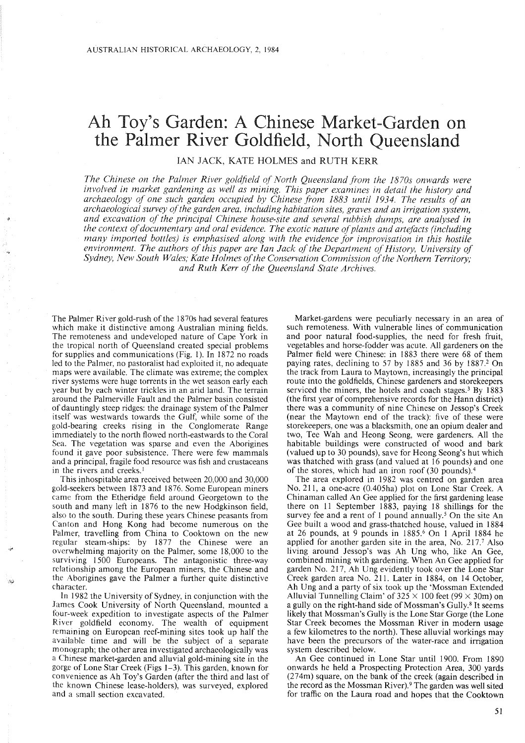# Ah Toy's Garden: A Chinese Market-Garden on the Palmer River Goldfield, North Queensland

## IAN JACK, KATE HOLMES and RUTH KERR

*The Chinese on the Palmer River goldfield of North Queensland from the 1870s onwards were involved in market gardening as well as mining. This paper examines in detail the history and archaeology of one such garden occupied by Chinese from* 1883 *until* 1934. *The results of an archaeological survey ofthe garden area, including habitation sites, graves and an irrigation system, and excavation of the principal Chinese house-site and several rubbish dumps, are analysed in the context ofdocumentary and oral evidence. The exotic nature ofplants and artefacts (including many imported bottles)* is *emphasised along with the evidence for improvisation in this hostile environment. The authors of this paper are Ian Jack of the Department of History, University of Sydney, New South Wales; Kate Holmes ofthe Conservation Commission ofthe Northern Territory; and Ruth Kerr of the Queensland State Archives.*

The Palmer River gold-rush of the 1870s had several features which make it distinctive among Australian mining fields. The remoteness and undeveloped nature of Cape York in the tropical north of Queensland created special problems for supplies and communications (Fig. 1). In 1872 no roads led to the Palmer, no pastoralist had exploited it, no adequate maps were available. The climate was extreme; the complex river systems were huge torrents in the wet season early each year but by each winter trickles in an arid land. The terrain around the Palmerville Fault and the Palmer basin consisted of dauntingly steep ridges: the drainage system of the Palmer itself was westwards towards the Gulf, while some of the gold-bearing creeks rising in the Conglomerate Range immediately to the north flowed north-eastwards to the Coral Sea. The vegetation was sparse and even the Aborigines found it gave poor subsistence. There were few mammals and a principal, fragile food resource was fish and crustaceans in the rivers and creeks.'

This inhospitable area received between 20,000 and 30,000 gold-seekers between 1873 and 1876. Some European miners came from the Etheridge field around Georgetown to the south and many left in 1876 to the new Hodgkinson field, also to the south. During these years Chinese peasants from Canton and Hong Kong had become numerous on the Palmer, travelling from China to Cooktown on the new regular steam-ships: by 1877 the Chinese were an overwhelming majority on the Palmer, some 18,000 to the surviving 1500 Europeans. The antagonistic three-way relationship among the European miners, the Chinese and the Aborigines gave the Palmer a further quite distinctive character.

",..

In 1982 the University of Sydney, in conjunction with the James Cook University of North Queensland, mounted a four-week expedition to investigate aspects of the Palmer River goldfield economy. The wealth of equipment remaining on European reef-mining sites took up half the available time and will be the subject of a separate monograph; the other area investigated archaeologically was a Chinese market-garden and alluvial gold-mining site in the gorge of Lone Star Creek (Figs 1-3). This garden, known for convenience as Ah Toy's Garden (after the third and last of the known Chinese lease-holders), was surveyed, explored and a small section excavated.

Market-gardens were peculiarly necessary in an area of such remoteness. With vulnerable lines of communication and poor natural food-supplies, the need for fresh fruit, vegetables and horse-fodder was acute. All gardeners on the Palmer field were Chinese: in 1883 there were 68 of them paying rates, declining to 57 by 1885 and 36 by 1887.2 On the track from Laura to Maytown, increasingly the principal route into the goldfields, Chinese gardeners and storekeepers serviced the miners, the hotels and coach stages.<sup>3</sup> By 1883 (the first year of comprehensive records for the Hann district) there was a community of nine Chinese on Jessop's Creek (neat the Maytown end of the track): five of these were storekeepers, one was a blacksmith, one an opium dealer and two, Tee Wah and Heong Seong, were gardeners. All the habitable buildings were constructed of wood and bark (valued up to 30 pounds), save for Heong Seong's hut which was thatched with grass (and valued at 16 pounds) and one of the stores, which had an iron roof (30 pounds).

The area explored in 1982 was centred on garden area No. 211, a one-acre (0.405ha) plot on Lone Star Creek. A Chinaman called An Gee applied for the first gardening lease there on 11 September 1883, paying 18 shillings for the survey fee and a rent of 1 pound annually.<sup>5</sup> On the site An Gee built a wood and grass-thatched house, valued in 1884 at 26 pounds, at 9 pounds in 1885.6 On 1 April 1884 he applied for another garden site in the area, No. 217.7 Also living around Jessop's was Ah Ung who, like An Gee, combined mining with gardening. When An Gee applied for garden No. 217, Ah Ung evidently took over the Lone Star Creek garden area No. 211. Later in 1884, on 14 October, Ah Ung and a party of six took up the 'Mossman Extended Alluvial Tunnelling Claim' of  $325 \times 100$  feet (99  $\times$  30m) on a gully on the right-hand side of Mossman's Gully.<sup>8</sup> It seems likely that Mossman's Gully is the Lone Star Gorge (the Lone Star Creek becomes the Mossman River in modern usage a few kilometres to the north). These alluvial workings may have been the precursors of the water-race and irrigation system described below.

An Gee continued in Lone Star until 1900. From 1890 onwards he held a Prospecting Protection Area, 300 yards (274m) square, on the bank of the creek (again described in the record as the Mossman River).<sup>9</sup> The garden was well sited for traffic on the Laura road and hopes that the Cooktown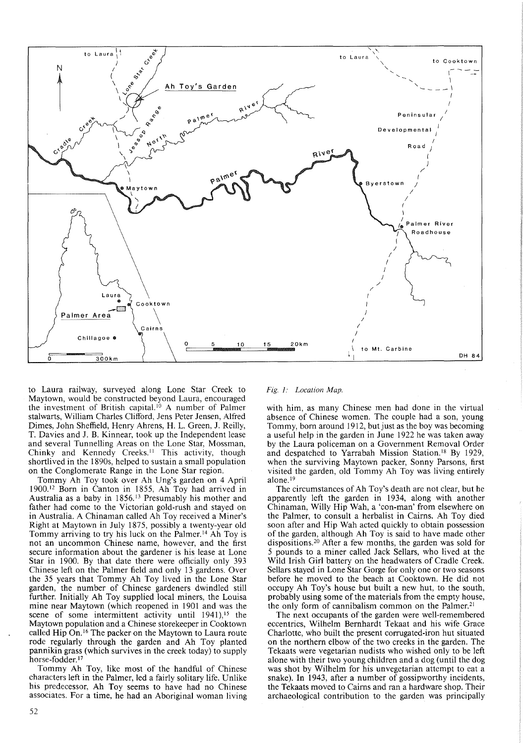

to Laura railway, surveyed along Lone Star Creek to Maytown, would be constructed beyond Laura, encouraged the investment of British capital.<sup>10</sup> A number of Palmer stalwarts, William Charles Clifford, Jens Peter Jensen, Alfred Dimes, John Sheffield, Henry Ahrens, H. L. Green, J. Reilly, T. Davies and J. B. Kinnear, took up the Independent lease and several Tunnelling Areas on the Lone Star, Mossman, Chinky and Kennedy Creeks.<sup>11</sup> This activity, though shortlived in the 1890s, helped to sustain a small population on the Conglomerate Range in the Lone Star region.

Tommy Ah Toy took over Ah Ung's garden on 4 April 1900.'2 Born in Canton in 1855, Ah Toy had arrived in Australia as a baby in 1856.<sup>13</sup> Presumably his mother and father had come to the Victorian gold-rush and stayed on in Australia. A Chinaman called Ah Toy received a Miner's Right at Maytown in July 1875, possibly a twenty-year old Tommy arriving to try his luck on the Palmer. <sup>14</sup> Ah Toy is not an uncommon Chinese name, however, and the first secure information about the gardener is his lease at Lone Star in 1900. By that date there were officially only 393 Chinese left on the Palmer field and only 13 gardens. Over the 35 years that Tommy Ah Toy lived in the Lone Star garden, the number of Chinese gardeners dwindled still further. Initially Ah Toy supplied local miners, the Louisa mine near Maytown (which reopened in 1901 and was the scene of some intermittent activity until  $1941$ ),<sup>15</sup> the Maytown population and a Chinese storekeeper in Cooktown called Hip On.<sup>16</sup> The packer on the Maytown to Laura route rode regularly through the garden and Ah Toy planted pannikin grass (which survives in the creek today) to supply horse-fodder.<sup>17</sup>

Tommy Ah Toy, like most of the handful of Chinese characters left in the Palmer, led a fairly solitary life. Unlike his predecessor, Ah Toy seems to have had no Chinese associates. For a time, he had an Aboriginal woman living

#### *Fig.* 1: *Location Map.*

with him, as many Chinese men had done in the virtual absence of Chinese women. The couple had a son, young Tommy, born around 1912, but just as the boy was becoming a useful help in the garden in June 1922 he was taken away by the Laura policeman on a Government Removal Order and despatched to Yarrabah Mission Station.<sup>18</sup> By 1929, when the surviving Maytown packer, Sonny Parsons, first visited the garden, old Tommy Ah Toy was living entirely alone.<sup>19</sup>

The circumstances of Ah Toy's death are not clear, but he apparently left the garden in 1934, along with another Chinaman, Willy Hip Wah, a 'con-man' from elsewhere on the Palmer, to consult a herbalist in Cairns. Ah Toy died soon after and Hip Wah acted quickly to obtain possession of the garden, although Ah Toy is said to have made other dispositions.<sup>20</sup> After a few months, the garden was sold for 5 pounds to a miner called Jack Sellars, who lived at the Wild Irish Girl battery on the headwaters of Cradle Creek. Sellars stayed in Lone Star Gorge for only one or two seasons before he moved to the beach at Cooktown. He did not occupy Ah Toy's house but built a new hut, to the south, probably using some of the materials from the empty house, the only form of cannibalism common on the Palmer.<sup>21</sup>

The next occupants of the garden were well-remembered eccentrics, Wilhelm Bernhardt Tekaat and his wife Grace Charlotte, who built the present corrugated-iron hut situated on the northern elbow of the two creeks in the garden. The Tekaats were vegetarian nudists who wished only to be left alone with their two young children and a dog (until the dog was shot by Wilhelm for his unvegetarian attempt to eat a snake). In 1943, after a number of gossipworthy incidents, the Tekaats moved to Cairns and ran a hardware shop. Their archaeological contribution to the garden was principally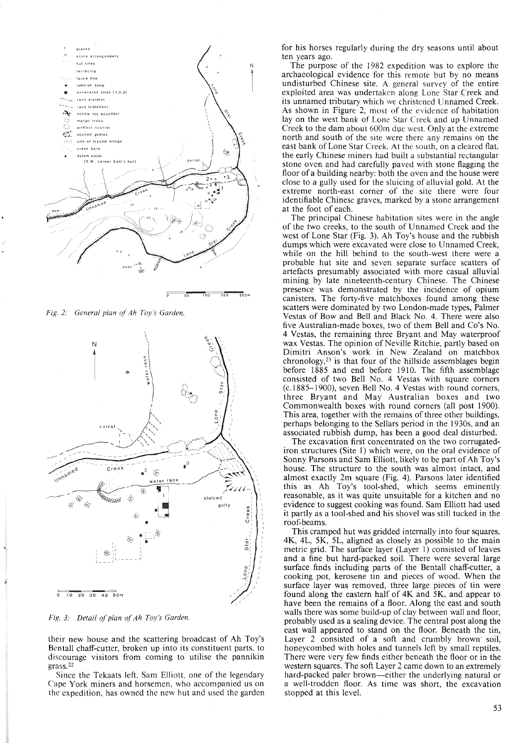

*Fig.* 2: *General plan of Ah Toy's Garden.*



*Fig.* 3. Detail of plan of Ah Toy's Garden.

their new house and the scattering broadcast of Ah Toy's Bentall chaff-cutter, broken up into its constituent parts, to discourage visitors from coming to utilise the pannikin  $grass.22$ 

Since the Tekaats left, Sam Elliott, one of the legendary Cape York miners and horsemen, who accompanied us on the expedition, has owned the new hut and used the garden for his horses regularly during the dry seasons until about ten years ago.

The purpose of the 1982 expedition was to explore the archaeological evidence for this remote but by no means undisturbed Chinese site. A general survey of the entire exploited area was undertaken along Lone Star Creek and its unnamed tributary which we christened Unnamed Creek. As shown in Figure 2, most of the evidence of habitation lay on the west bank of Lone Star Creek and up Unnamed Creek to the dam about 600m due west. Only at the extreme north and south of the site were there any remains on the east bank of Lone Star Creek, At the south, on a cleared flat, the early Chinese miners had built a substantial rectangular stone oven and had carefully paved with stone flagging the floor of a building nearby: both the oven and the house were close to a gully used for the sluicing of alluvial gold. At the extreme north-east corner of the site there were four identifiable Chinese graves, marked by a stone arrangement at the foot of each.

The principal Chinese habitation sites were in the angle of the two creeks, to the south of Unnamed Creek and the west of Lone Star (Fig. 3). Ah Toy's house and the rubbish dumps which were excavated were close to Unnamed Creek, while on the hill behind to the south-west there were a probable hut site and seven separate surface scatters of artefacts presumably associated with more casual alluvial mining by late nineteenth-century Chinese. The Chinese presence was demonstrated by the incidence of opium canisters. The forty-five matchboxes found among these scatters were dominated by two London-made types, Palmer Vestas of Bow and Bell and Black No.4. There were also five Australian-made boxes, two of them Bell and Co's No. 4 Vestas, the remaining three Bryant and May waterproof wax Vestas. The opinion of Neville Ritchie, partly based on Dimitri Anson's work in New Zealand on matchbox chronology, $23$  is that four of the hillside assemblages begin before 18.85 and end before 1910. The fifth assemblage consisted of two Bell No. 4 Vestas with square corners (c.1885-1900), seven Bell NO.4 Vestas with round corners, three Bryant and May Australian boxes and two Commonwealth boxes with round corners (all post 1900). This area, together with the remains of three other buildings, perhaps belonging to the Sellars period in the 1930s, and an associated rubbish dump, has been a good deal disturbed.

The excavation first concentrated on the two corrugatediron structures (Site I) which were, on the oral evidence of Sonny Parsons and Sam Elliott, likely to be part of Ah Toy's house. The structure to the south was almost intact, and almost exactly 2m square (Fig. 4). Parsons later identified this as Ah Toy's tool-shed, which seems eminently reasonable, as it was quite unsuitable for a kitchen and no evidence to suggest cooking was found. Sam Elliott had used it partly as a tool-shed and his shovel was still tucked in the roof-beams.

This cramped hut was gridded internally into four squares, 4K, 4L, 5K, 5L, aligned as closely as possible to the main metric grid. The surface layer (Layer I) consisted of leaves and a fine but hard-packed soil. There were several large surface finds including parts of the Bentall chaff-cutter, a cooking pot, kerosene tin and pieces of wood. When the surface layer was removed, three large pieces of tin were found along the eastern half of 4K and 5K, and appear to have been the remains of a floor. Along the east and, south walls there was some build-up of clay between wall and floor, probably used as a sealing device. The central post along the east wall appeared to stand on the floor. Beneath the tin, Layer 2 consisted of a soft and crumbly brown soil, honeycombed with holes and tunnels left by small reptiles. There were very few finds either beneath the floor or in the western squares. The soft Layer 2 came down to an extremely hard-packed paler brown-either the underlying natural or a well-trodden floor. As time was short, the excavation stopped at this level.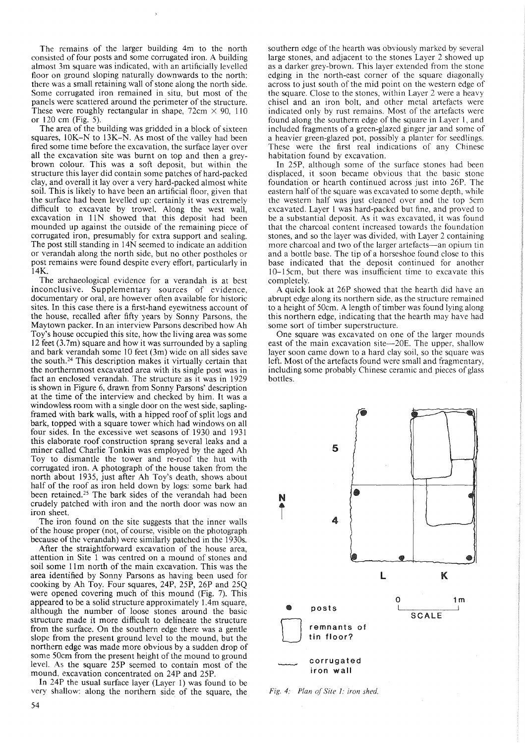The remains of the larger building 4m to the north consisted of four posts and some corrugated iron. A building almost 3m square was indicated, with an artificially levelled floor on ground sloping naturally downwards to the north: there was a small retaining wall of stone along the north side. Some corrugated iron remained in situ, but most of the panels were scattered around the perimeter of the structure. These were roughly rectangular in shape,  $72 \text{cm} \times 90$ , 110 or 120 em (Fig. 5).

The area of the building was gridded in a block of sixteen squares, 10K-N to 13K-N. As most of the valley had been fired some time before the excavation, the surface layer over all the excavation site was burnt on top and then a greybrown colour. This was a soft deposit, but within the structure this layer did contain some patches of hard-packed clay, and overall it lay over a very hard-packed almost white soil. This is likely to have been an artificial floor, given that the surface had been levelled up: certainly it was extremely difficult to excavate by trowel. Along the west wall, excavation in 11N showed that this deposit had been mounded up against the outside of the remaining piece of corrugated iron, presumably for extra support and sealing. The post still standing in 14N seemed to indicate an addition or verandah along the north side, but no other postholes or post remains were found despite every effort, particularly in 14K.

The archaeological evidence for a verandah is at best inconclusive. Supplementary sources of evidence, documentary or oral, are however often available for historic sites. In this case there is a first-hand eyewitness account of the house, recalled after fifty years by Sonny Parsons, the Maytown packer. In an interview Parsons described how Ah Toy's house occupied this site, how the living area was some 12 feet (3.7m) square and how it was surrounded by a sapling and bark verandah some 10 feet (3m) wide on all sides save the south.<sup>24</sup> This description makes it virtually certain that the northernmost excavated area with its single post was in fact an enclosed verandah. The structure as it was in 1929 is shown in Figure 6, drawn from Sonny Parsons' description at the time of the interview and checked by him. It was a windowless room with a single door on the west side, saplingframed with bark walls, with a hipped roof of split logs and bark, topped with a square tower which had windows on all four sides. In the excessive wet seasons of 1930 and 1931 this elaborate roof construction sprang several leaks and a miner called Charlie Tonkin was employed by the aged Ah Toy to dismantle the tower and re-roof the hut with corrugated iron. A photograph of the house taken from the north about 1935, just after Ah Toy's death, shows about half of the roof as iron held down by logs: some bark had been retained.<sup>25</sup> The bark sides of the verandah had been crudely patched with iron and the north door was now an iron sheet.

The iron found on the site suggests that the inner walls ofthe house proper (not, of course, visible on the photograph because of the verandah) were similarly patched in the 1930s.

After the straightforward excavation of the house area, attention in Site I was centred on a mound of stones and soil some IIm north of the main excavation. This was the area identified by Sonny Parsons as having been used for cooking by Ah Toy. Four squares, 24P, 25P, 26P and 25Q were opened covering much of this mound (Fig. 7). This appeared to be a solid structure approximately  $1.4m$  square, although the number of loose stones around the basic structure made it more difficult to delineate the structure from the surface. On the southern edge there was a gentle slope from the present ground level to the mound, but the northern edge was made more obvious by a sudden drop of some 50cm from the present height of the mound to ground level. As the square 25P seemed to contain most of the mound, excavation concentrated on 24P and 25P.

In 24P the usual surface layer (Layer I) was found to be very shallow: along the northern side of the square, the southern edge of the hearth was obviously marked by several large stones, and adjacent to the stones Layer 2 showed up as a darker grey-brown. This layer extended from the stone edging in the north-east corner of the square diagonally across to just south of the mid point on the western edge of the square. Close to the stones, within Layer 2 were a heavy chisel and an iron bolt, and other metal artefacts were indicated only by rust remains. Most of the artefacts were found along the southern edge of the square in Layer I, and included fragments of a green-glazed ginger jar and some of a heavier green-glazed pot, possibly a planter for seedlings. These were the first real indications of any Chinese habitation found by excavation.

In 25P, although some of the surface stones had been displaced, it soon became obvious that the basic stone foundation or hearth continued across just into 26P. The eastern half of the square was excavated to some depth, while the western half was just cleaned over and the top 5cm excavated. Layer I was hard-packed but fine, and proved to be a substantial deposit. As it was excavated, it was found that the charcoal content increased towards the foundation stones, and so the layer was divided, with Layer 2 containing more charcoal and two of the larger artefacts—an opium tin and a bottle base. The tip of a horseshoe found close to this base indicated that the deposit continued for another 1O-15cm, but there was insufficient time to excavate this completely.

A quick look at 26P showed that the hearth did have an abrupt edge along its northern side, as the structure remained to a height of 50cm. A length of timber was found lying along this northern edge, indicating that the hearth may have had some sort of timber superstructure.

One square was excavated on one of the larger mounds east of the main excavation site—20E. The upper, shallow layer soon came down to a hard clay soil, so the square was left. Most of the artefacts found were small and fragmentary, including some probably Chinese ceramic and pieces of glass bottles.



*Fig.* 4: *Plan of Site* 1: *iron shed.*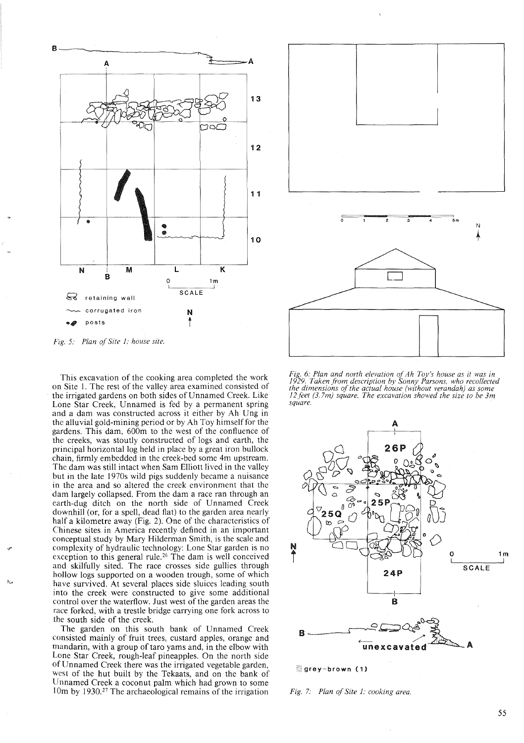

*Fig.* 5: *Plan of Site 1: house site.* 

.f"

This excavation of the cooking area completed the work on Site 1. The rest of the valley area examined consisted of the irrigated gardens on both sides of Unnamed Creek. Like Lone Star Creek, Unnamed is fed by a permanent spring and a dam was constructed across it either by Ah Ung in the alluvial gold-mining period or by Ah Toy himself for the gardens. This dam, 600m to the west of the confluence of the creeks, was stoutly constructed of logs and earth, the principal horizontal log held in place by a great iron bullock chain, firmly embedded in the creek-bed some 4m upstream. The dam was still intact when Sam Elliott lived in the valley but in the late 1970s wild pigs suddenly became a nuisance in the area and so altered the creek environment that the dam largely collapsed. From the dam a race ran through an earth-dug ditch on the north side of Unnamed Creek downhill (or, for a spell, dead flat) to the garden area nearly half a kilometre away (Fig. 2). One of the characteristics of Chinese sites in America recently defined in an important conceptual study by Mary Hilderman Smith, is the scale and complexity of hydraulic technology: Lone Star garden is no exception to this general rule.<sup>26</sup> The dam is well conceived and skilfully sited. The race crosses side gullies through hollow logs supported on a wooden trough, some of which have survived. At several places side sluices leading south into the creek were constructed to give some additional control over the waterflow. Just west of the garden areas the race forked, with a trestle bridge carrying one fork across to the south side of the creek.

The garden on this south bank of Unnamed Creek consisted mainly of fruit trees, custard apples, orange and mandarin, with a group of taro yams and, in the elbow with Lone Star Creek, rough-leaf pineapples. On the north side of Unnamed Creek there was the irrigated vegetable garden, west of the hut built by the Tekaats, and on the bank of Unnamed Creek a coconut palm which had grown to some  $10m$  by 1930.<sup>27</sup> The archaeological remains of the irrigation



*Fig.* 6: *Plan and north elevation ofAh Toy's house as it was in 1929. Taken from description by Sonny Parsons. who recollected the dimensions of the actual house (without verandah) as some 12feet (3.7m) square. The excavation showed the size to be 3m square.*



 $\mathbb{Z}$  grey-brown (1)

*Fig.* 7: *Plan of Site 1: cooking area.*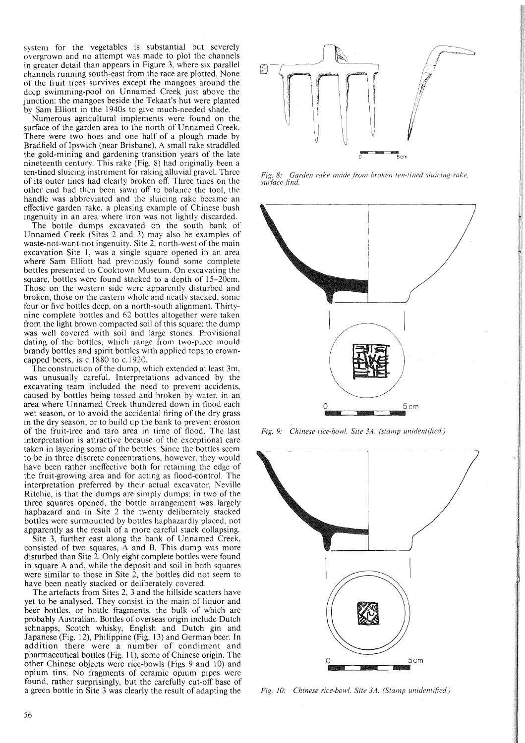system for the vegetables is substantial but severely overgrown and no attempt was made to plot the channels in greater detail than appears in Figure 3, where six parallel channels running south-east from the race are plotted. None of the fruit trees survives except the mangoes around the deep swimming-pool on Unnamed Creek just above the junction: the mangoes beside the Tekaat's hut were planted by Sam Elliott in the 1940s to give much-needed shade.

Numerous agricultural implements were found on the surface of the garden area to the north of Unnamed Creek. There were two hoes and one half of a plough made by Bradfield of Ipswich (near Brisbane). A small rake straddled the gold-mining and gardening transition years of the late nineteenth century. This rake (Fig. 8) had originally been a ten-tined sluicing instrument for raking alluvial gravel. Three of its outer tines had clearly broken off. Three tines on the other end had then been sawn off to balance the tool, the handle was abbreviated and the sluicing rake became an effective garden rake, a pleasing example of Chinese bush ingenuity in an area where iron was not lightly discarded.

The bottle dumps excavated on the south bank of Unnamed Creek (Sites 2 and 3) may also be examples of waste-not-want-not ingenuity. Site 2, north-west of the main excavation Site I, was a single square opened in an area where Sam Elliott had previously found some complete bottles presented to Cooktown Museum. On excavating the square, bottles were found stacked to a depth of 15-20cm. Those on the western side were apparently disturbed and broken, those on the eastern whole and neatly stacked, some four or five bottles deep, on a north-south alignment. Thirtynine complete bottles and 62 bottles altogether were taken from the light brown compacted soil of this square: the dump was well covered with soil and large stones. Provisional dating of the bottles, which range from two-piece mould brandy bottles and spirit bottles with applied tops to crowncapped beers, is c.1880 to c.1920.

The construction of the dump, which extended at least 3m, was unusually careful. Interpretations advanced by the excavating team included the need to prevent accidents, caused by bottles being tossed and broken by water, in an area where Unnamed Creek thundered down in flood each wet season, or to avoid the accidental firing of the dry grass in the dry season, or to build up the bank to prevent erosion of the fruit-tree and taro area in time of flood. The last interpretation is attractive because of the exceptional care taken in layering some of the bottles. Since the bottles seem to be in three discrete concentrations, however, they would have been rather ineffective both for retaining the edge of the fruit-growing area and for acting as flood-control. The interpretation preferred by their actual excavator, Neville Ritchie, is that the dumps are simply dumps: in two of the three squares opened, the bottle arrangement was largely haphazard and in Site 2 the twenty deliberately stacked bottles were surmounted by bottles haphazardly placed, not apparently as the result of a more careful stack collapsing.

Site 3, further east along the bank of Unnamed Creek, consisted of two squares, A and B. This dump was more disturbed than Site 2. Only eight complete bottles were found in square A and, while the deposit and soil in both squares were similar to those in Site 2, the bottles did not seem to have been neatly stacked or deliberately covered.

The artefacts from Sites 2, 3 and the hillside scatters have yet to be analysed. They consist in the main of liquor and beer bottles, or bottle fragments, the bulk of which are probably Australian. Bottles of overseas origin include Dutch schnapps, Scotch whisky, English and Dutch gin and Japanese (Fig. 12), Philippine (Fig. 13) and German beer. **In** addition there were a number of condiment and pharmaceutical bottles (Fig. 11), some of Chinese origin. The other Chinese objects were rice-bowls (Figs 9 and 10) and opium tins. No fragments of ceramic opium pipes were found, rather surprisingly, but the carefully cut-off base of a green bottle in Site 3 was clearly the result of adapting the



*Fig.* 8: *Garden rake made from broken len-tined sluicing rake.* surface find.



*Fig.* 9: *Chinese rice-howl. Site 3A. (stamp unidentified.)*



*Fig. 10: Chinese rice-howl. Site 3A. (Stamp unidentified.)*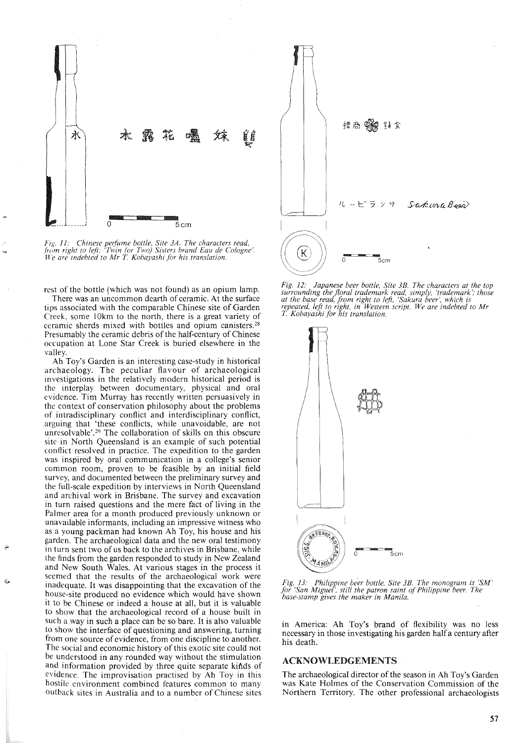

Fig. 11: Chinese perfume bottle, Site 3A. The characters read,<br>• from right to left: 'Twin (or Two) Sisters brand Eau de Cologne'.<br>We are indebted to Mr T. Kobayashi for his translation.

rest of the bottle (which was not found) as an opium lamp.

There was an uncommon dearth of ceramic. At the surface tips associated with the comparable Chinese site of Garden Creek, some IOkm to the north, there is a great variety of ceramic sherds mixed with bottles and opium canisters.<sup>28</sup> Presumably the ceramic debris of the half-century of Chinese occupation at Lone Star Creek is buried elsewhere in the valley.

Ah Toy's Garden is an interesting case-study in historical archaeology. The peculiar flavour of archaeological investigations in the relatively modern historical period is the interplay between documentary, physical and oral evidence. Tim Murray has recently written persuasively in the context of conservation philosophy about the problems of intradisciplinary conflict and interdisciplinary conflict, arguing that 'these conflicts, while unavoidable, are not unresolvable'.<sup>29</sup> The collaboration of skills on this obscure site in North Queensland is an example of such potential conflict resolved in practice. The expedition to the garden was inspired by oral communication in a college's senior common room, proven to be feasible by an initial field survey, and documented between the preliminary survey and the full-scale expedition by interviews in North Queensland and archival work in Brisbane. The survey and excavation in turn raised questions and the mere fact of living in the Palmer area for a month produced previously unknown or unavailable informants, including an impressive witness who as a young packman had known Ah Toy, his house and his garden. The archaeological data and the new oral testimony in turn sent two of us back to the archives in Brisbane, while the finds from the garden responded to study in New Zealand and New South Wales. At various stages in the process it seemed that the results of the archaeological work were inadequate. It was disappointing that the excavation of the house-site produced no evidence which would have shown it to be Chinese or indeed a house at all, but it is valuable to show that the archaeological record of a house built in such a way in such a place can be so bare. It is also valuable to show the interface of questioning and answering, turning from one source of evidence, from one discipline to another. The social and economic history of this exotic site could not be understood in any rounded way without the stimulation and information provided by three quite separate kinds of evidence. The improvisation practised by Ah Toy in this hostile environment combined features common to many outback sites in Australia and to a number of Chinese sites

~~



*Fig.* 12: *Japanese beer bottle, Site 3B. The characters at the top surrounding the floral trademark read, simply, 'trademark'; those at the base read, from right to left, 'Sakura beer', which* is *repeated, left to right, in Western script. We are indebted to Mr T Kobayashi for his translation.*



*Fig.* 13: *Philippine beer bottle, Site 3B. The monogram is 'SM' for 'San Miguel', still the patron saint of Philippine beer. The base-stamp gives the maker in Manila.*

in America: Ah Toy's brand of flexibility was no less necessary in those investigating his garden haifa century after his death.

#### ACKNOWLEDGEMENTS

The archaeological director of the season in Ah Toy's Garden was Kate Holmes of the Conservation Commission of the Northern Territory. The other professional archaeologists